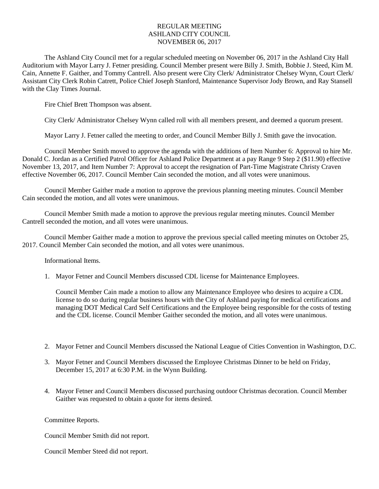## REGULAR MEETING ASHLAND CITY COUNCIL NOVEMBER 06, 2017

The Ashland City Council met for a regular scheduled meeting on November 06, 2017 in the Ashland City Hall Auditorium with Mayor Larry J. Fetner presiding. Council Member present were Billy J. Smith, Bobbie J. Steed, Kim M. Cain, Annette F. Gaither, and Tommy Cantrell. Also present were City Clerk/ Administrator Chelsey Wynn, Court Clerk/ Assistant City Clerk Robin Catrett, Police Chief Joseph Stanford, Maintenance Supervisor Jody Brown, and Ray Stansell with the Clay Times Journal.

Fire Chief Brett Thompson was absent.

City Clerk/ Administrator Chelsey Wynn called roll with all members present, and deemed a quorum present.

Mayor Larry J. Fetner called the meeting to order, and Council Member Billy J. Smith gave the invocation.

Council Member Smith moved to approve the agenda with the additions of Item Number 6: Approval to hire Mr. Donald C. Jordan as a Certified Patrol Officer for Ashland Police Department at a pay Range 9 Step 2 (\$11.90) effective November 13, 2017, and Item Number 7: Approval to accept the resignation of Part-Time Magistrate Christy Craven effective November 06, 2017. Council Member Cain seconded the motion, and all votes were unanimous.

Council Member Gaither made a motion to approve the previous planning meeting minutes. Council Member Cain seconded the motion, and all votes were unanimous.

Council Member Smith made a motion to approve the previous regular meeting minutes. Council Member Cantrell seconded the motion, and all votes were unanimous.

Council Member Gaither made a motion to approve the previous special called meeting minutes on October 25, 2017. Council Member Cain seconded the motion, and all votes were unanimous.

Informational Items.

1. Mayor Fetner and Council Members discussed CDL license for Maintenance Employees.

Council Member Cain made a motion to allow any Maintenance Employee who desires to acquire a CDL license to do so during regular business hours with the City of Ashland paying for medical certifications and managing DOT Medical Card Self Certifications and the Employee being responsible for the costs of testing and the CDL license. Council Member Gaither seconded the motion, and all votes were unanimous.

- 2. Mayor Fetner and Council Members discussed the National League of Cities Convention in Washington, D.C.
- 3. Mayor Fetner and Council Members discussed the Employee Christmas Dinner to be held on Friday, December 15, 2017 at 6:30 P.M. in the Wynn Building.
- 4. Mayor Fetner and Council Members discussed purchasing outdoor Christmas decoration. Council Member Gaither was requested to obtain a quote for items desired.

Committee Reports.

Council Member Smith did not report.

Council Member Steed did not report.